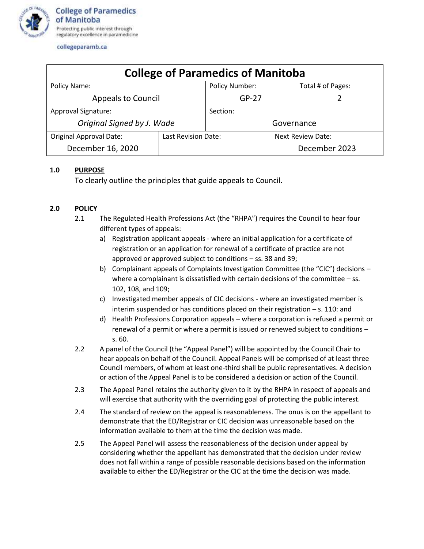

collegeparamb.ca

| <b>College of Paramedics of Manitoba</b> |                     |                       |                   |                   |
|------------------------------------------|---------------------|-----------------------|-------------------|-------------------|
| Policy Name:                             |                     | <b>Policy Number:</b> |                   | Total # of Pages: |
| <b>Appeals to Council</b>                |                     | $GP-27$               |                   |                   |
| Approval Signature:                      |                     | Section:              |                   |                   |
| Original Signed by J. Wade               |                     | Governance            |                   |                   |
| <b>Original Approval Date:</b>           | Last Revision Date: |                       | Next Review Date: |                   |
| December 16, 2020                        |                     |                       |                   | December 2023     |

## **1.0 PURPOSE**

To clearly outline the principles that guide appeals to Council.

## **2.0 POLICY**

- 2.1 The Regulated Health Professions Act (the "RHPA") requires the Council to hear four different types of appeals:
	- a) Registration applicant appeals where an initial application for a certificate of registration or an application for renewal of a certificate of practice are not approved or approved subject to conditions – ss. 38 and 39;
	- b) Complainant appeals of Complaints Investigation Committee (the "CIC") decisions where a complainant is dissatisfied with certain decisions of the committee – ss. 102, 108, and 109;
	- c) Investigated member appeals of CIC decisions where an investigated member is interim suspended or has conditions placed on their registration – s. 110: and
	- d) Health Professions Corporation appeals where a corporation is refused a permit or renewal of a permit or where a permit is issued or renewed subject to conditions – s. 60.
- 2.2 A panel of the Council (the "Appeal Panel") will be appointed by the Council Chair to hear appeals on behalf of the Council. Appeal Panels will be comprised of at least three Council members, of whom at least one-third shall be public representatives. A decision or action of the Appeal Panel is to be considered a decision or action of the Council.
- 2.3 The Appeal Panel retains the authority given to it by the RHPA in respect of appeals and will exercise that authority with the overriding goal of protecting the public interest.
- 2.4 The standard of review on the appeal is reasonableness. The onus is on the appellant to demonstrate that the ED/Registrar or CIC decision was unreasonable based on the information available to them at the time the decision was made.
- 2.5 The Appeal Panel will assess the reasonableness of the decision under appeal by considering whether the appellant has demonstrated that the decision under review does not fall within a range of possible reasonable decisions based on the information available to either the ED/Registrar or the CIC at the time the decision was made.